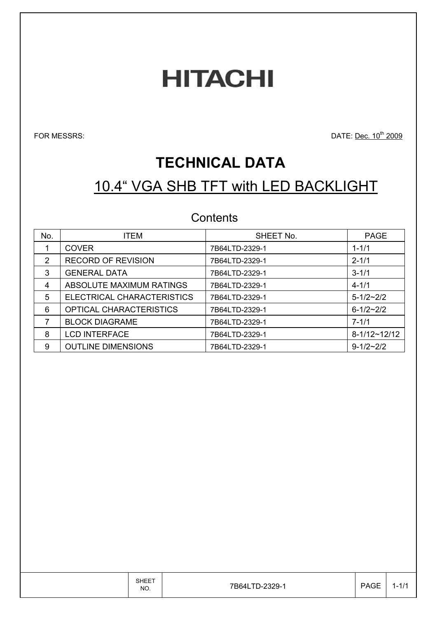# **HITACHI**

FOR MESSRS: Dec. 10<sup>th</sup> 2009

# **TECHNICAL DATA**

# 10.4" VGA SHB TFT with LED BACKLIGHT

### **Contents**

| No. | <b>ITEM</b>                | SHEET No.      | <b>PAGE</b>     |
|-----|----------------------------|----------------|-----------------|
|     | <b>COVER</b>               | 7B64LTD-2329-1 | $1 - 1/1$       |
| 2   | <b>RECORD OF REVISION</b>  | 7B64LTD-2329-1 | $2 - 1/1$       |
| 3   | <b>GENERAL DATA</b>        | 7B64LTD-2329-1 | $3 - 1/1$       |
| 4   | ABSOLUTE MAXIMUM RATINGS   | 7B64LTD-2329-1 | $4 - 1/1$       |
| 5   | ELECTRICAL CHARACTERISTICS | 7B64LTD-2329-1 | $5 - 1/2 - 2/2$ |
| 6   | OPTICAL CHARACTERISTICS    | 7B64LTD-2329-1 | $6 - 1/2 - 2/2$ |
|     | <b>BLOCK DIAGRAME</b>      | 7B64LTD-2329-1 | $7 - 1/1$       |
| 8   | <b>LCD INTERFACE</b>       | 7B64LTD-2329-1 | $8-1/12-12/12$  |
| 9   | <b>OUTLINE DIMENSIONS</b>  | 7B64LTD-2329-1 | $9 - 1/2 - 2/2$ |

|  | <b>SHEET</b><br>NO. | 7B64LTD-2329-1 | <b>PAGE</b> | $1 - 1/1$ |
|--|---------------------|----------------|-------------|-----------|
|--|---------------------|----------------|-------------|-----------|

 $\top$ 

T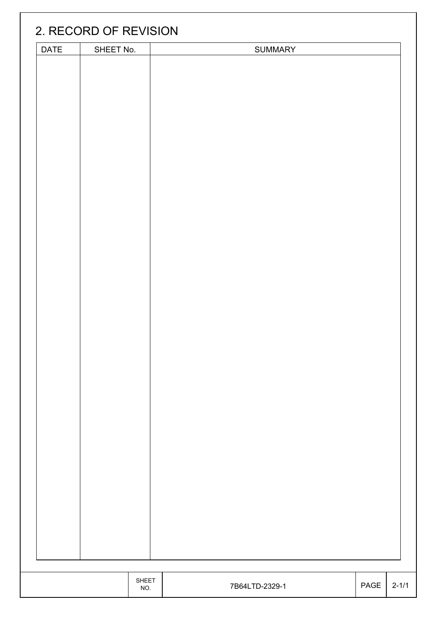|      | 2. RECORD OF REVISION |                     |                |      |           |
|------|-----------------------|---------------------|----------------|------|-----------|
| DATE | SHEET No.             |                     | <b>SUMMARY</b> |      |           |
|      |                       |                     |                |      |           |
|      |                       |                     |                |      |           |
|      |                       |                     |                |      |           |
|      |                       |                     |                |      |           |
|      |                       |                     |                |      |           |
|      |                       |                     |                |      |           |
|      |                       |                     |                |      |           |
|      |                       |                     |                |      |           |
|      |                       |                     |                |      |           |
|      |                       |                     |                |      |           |
|      |                       |                     |                |      |           |
|      |                       |                     |                |      |           |
|      |                       |                     |                |      |           |
|      |                       |                     |                |      |           |
|      |                       |                     |                |      |           |
|      |                       |                     |                |      |           |
|      |                       |                     |                |      |           |
|      |                       |                     |                |      |           |
|      |                       |                     |                |      |           |
|      |                       |                     |                |      |           |
|      |                       | <b>SHEET</b><br>NO. | 7B64LTD-2329-1 | PAGE | $2 - 1/1$ |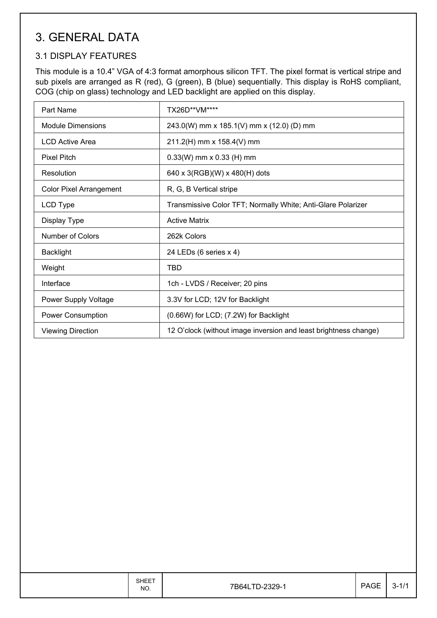### 3. GENERAL DATA

### 3.1 DISPLAY FEATURES

This module is a 10.4" VGA of 4:3 format amorphous silicon TFT. The pixel format is vertical stripe and sub pixels are arranged as R (red), G (green), B (blue) sequentially. This display is RoHS compliant, COG (chip on glass) technology and LED backlight are applied on this display.

| Part Name                      | TX26D**VM****                                                    |
|--------------------------------|------------------------------------------------------------------|
| Module Dimensions              | 243.0(W) mm x 185.1(V) mm x (12.0) (D) mm                        |
| <b>LCD Active Area</b>         | 211.2(H) mm x 158.4(V) mm                                        |
| <b>Pixel Pitch</b>             | $0.33(W)$ mm x 0.33 (H) mm                                       |
| Resolution                     | 640 x 3(RGB)(W) x 480(H) dots                                    |
| <b>Color Pixel Arrangement</b> | R, G, B Vertical stripe                                          |
| LCD Type                       | Transmissive Color TFT; Normally White; Anti-Glare Polarizer     |
| Display Type                   | <b>Active Matrix</b>                                             |
| Number of Colors               | 262k Colors                                                      |
| <b>Backlight</b>               | 24 LEDs (6 series x 4)                                           |
| Weight                         | TBD                                                              |
| Interface                      | 1ch - LVDS / Receiver; 20 pins                                   |
| Power Supply Voltage           | 3.3V for LCD; 12V for Backlight                                  |
| <b>Power Consumption</b>       | (0.66W) for LCD; (7.2W) for Backlight                            |
| <b>Viewing Direction</b>       | 12 O'clock (without image inversion and least brightness change) |

|  | <b>SHEET</b><br>NO. | 7B64LTD-2329-1 | <b>PAGE</b> | $3 - 1/1$ |  |
|--|---------------------|----------------|-------------|-----------|--|
|--|---------------------|----------------|-------------|-----------|--|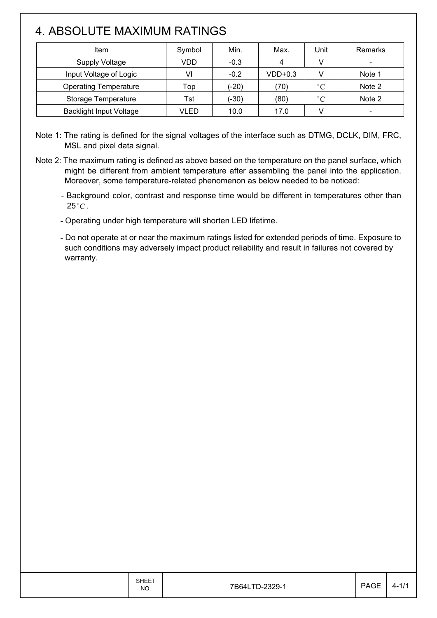### 4. ABSOLUTE MAXIMUM RATINGS

| Item                           | Symbol | Min.    | Max.      | Unit              | Remarks |
|--------------------------------|--------|---------|-----------|-------------------|---------|
| <b>Supply Voltage</b>          | VDD    | $-0.3$  | 4         |                   |         |
| Input Voltage of Logic         | VI     | $-0.2$  | $VDD+0.3$ |                   | Note 1  |
| <b>Operating Temperature</b>   | Top    | $(-20)$ | (70)      | $^{\circ}$ $\cap$ | Note 2  |
| Storage Temperature            | Tst    | (-30)   | (80)      | $^{\circ}$ $\cap$ | Note 2  |
| <b>Backlight Input Voltage</b> | VLED   | 10.0    | 17.0      |                   |         |

Note 1: The rating is defined for the signal voltages of the interface such as DTMG, DCLK, DIM, FRC, MSL and pixel data signal.

Note 2: The maximum rating is defined as above based on the temperature on the panel surface, which might be different from ambient temperature after assembling the panel into the application. Moreover, some temperature-related phenomenon as below needed to be noticed:

- Background color, contrast and response time would be different in temperatures other than  $25^{\circ}$ C.
- Operating under high temperature will shorten LED lifetime.

- Do not operate at or near the maximum ratings listed for extended periods of time. Exposure to such conditions may adversely impact product reliability and result in failures not covered by warranty.

|  | <b>SHEET</b><br>NO. | 7B64LTD-2329-1 | PAGE | $4 - 1/1$ |
|--|---------------------|----------------|------|-----------|
|--|---------------------|----------------|------|-----------|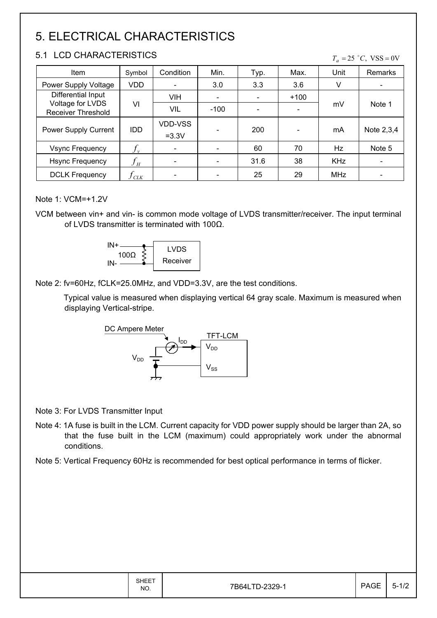### 5. ELECTRICAL CHARACTERISTICS

### 5.1 LCD CHARACTERISTICS

#### $T_a = 25$  °C, VSS = 0V

| Item                                          | Symbol                     | Condition                 | Min.   | Typ. | Max.   | Unit       | Remarks    |
|-----------------------------------------------|----------------------------|---------------------------|--------|------|--------|------------|------------|
| Power Supply Voltage                          | <b>VDD</b>                 |                           | 3.0    | 3.3  | 3.6    | V          |            |
| Differential Input                            |                            | VIH                       |        |      | $+100$ |            |            |
| Voltage for LVDS<br><b>Receiver Threshold</b> | VI                         | <b>VIL</b>                | $-100$ |      |        | mV         | Note 1     |
| <b>Power Supply Current</b>                   | <b>IDD</b>                 | <b>VDD-VSS</b><br>$=3.3V$ |        | 200  |        | mA         | Note 2,3,4 |
| <b>Vsync Frequency</b>                        | $f_{\rm v}$                |                           |        | 60   | 70     | Hz         | Note 5     |
| <b>Hsync Frequency</b>                        | $f_{\scriptscriptstyle H}$ |                           |        | 31.6 | 38     | <b>KHz</b> |            |
| <b>DCLK Frequency</b>                         | CLK                        |                           |        | 25   | 29     | MHz        |            |

#### Note 1: VCM=+1.2V

VCM between vin+ and vin- is common mode voltage of LVDS transmitter/receiver. The input terminal of LVDS transmitter is terminated with 100 $\Omega$ .



Note 2: fv=60Hz, fCLK=25.0MHz, and VDD=3.3V, are the test conditions.

Typical value is measured when displaying vertical 64 gray scale. Maximum is measured when displaying Vertical-stripe.



Note 3: For LVDS Transmitter Input

- Note 4: 1A fuse is built in the LCM. Current capacity for VDD power supply should be larger than 2A, so that the fuse built in the LCM (maximum) could appropriately work under the abnormal conditions.
- Note 5: Vertical Frequency 60Hz is recommended for best optical performance in terms of flicker.

|  | <b>SHEET</b><br>NO. | 7B64LTD-2329-1 | <b>PAGE</b> | $5 - 1/2$ |
|--|---------------------|----------------|-------------|-----------|
|--|---------------------|----------------|-------------|-----------|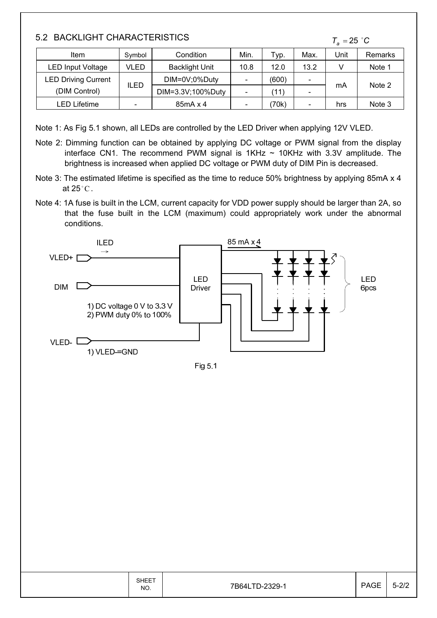### 5.2 BACKLIGHT CHARACTERISTICS

```
T_a = 25 °C
```

| <b>Item</b>                | Symbol                   | Condition             | Min.                     | Typ.  | Max.                     | Unit | Remarks |
|----------------------------|--------------------------|-----------------------|--------------------------|-------|--------------------------|------|---------|
| <b>LED Input Voltage</b>   | VLED                     | <b>Backlight Unit</b> | 10.8                     | 12.0  | 13.2                     |      | Note 1  |
| <b>LED Driving Current</b> |                          | DIM=0V;0%Duty         | $\sim$                   | (600) | $\overline{\phantom{0}}$ |      | Note 2  |
| (DIM Control)              | ILED                     | DIM=3.3V;100%Duty     | $\overline{\phantom{0}}$ | (11   | $\overline{\phantom{a}}$ | mA   |         |
| LED Lifetime               | $\overline{\phantom{0}}$ | 85mA x 4              | $\overline{\phantom{0}}$ | 70k)  | -                        | hrs  | Note 3  |

Note 1: As Fig 5.1 shown, all LEDs are controlled by the LED Driver when applying 12V VLED.

- Note 2: Dimming function can be obtained by applying DC voltage or PWM signal from the display interface CN1. The recommend PWM signal is  $1KHz \sim 10KHz$  with 3.3V amplitude. The brightness is increased when applied DC voltage or PWM duty of DIM Pin is decreased.
- Note 3: The estimated lifetime is specified as the time to reduce 50% brightness by applying 85mA x 4 at 25  $^{\circ}$  C .
- Note 4: 1A fuse is built in the LCM, current capacity for VDD power supply should be larger than 2A, so that the fuse built in the LCM (maximum) could appropriately work under the abnormal conditions.



Fig 5.1

|  | <b>SHEET</b><br>NO. | 7B64LTD-2329-1 | <b>PAGE</b> | $5-2/2$<br>∠∠ |
|--|---------------------|----------------|-------------|---------------|
|--|---------------------|----------------|-------------|---------------|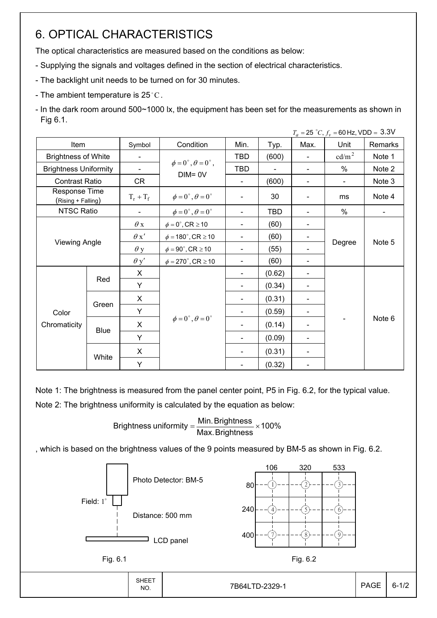### 6. OPTICAL CHARACTERISTICS

The optical characteristics are measured based on the conditions as below:

- Supplying the signals and voltages defined in the section of electrical characteristics.
- The backlight unit needs to be turned on for 30 minutes.
- The ambient temperature is 25 $^{\circ}$ C.
- In the dark room around 500~1000 lx, the equipment has been set for the measurements as shown in Fig 6.1.

|                                     |       |                          |                                          |                          |                          |                | $T_a = 25 °C$ , $f_v = 60$ Hz, VDD = 3.3V |         |
|-------------------------------------|-------|--------------------------|------------------------------------------|--------------------------|--------------------------|----------------|-------------------------------------------|---------|
| Item                                |       | Symbol                   | Condition                                | Min.                     | Typ.                     | Max.           | Unit                                      | Remarks |
| <b>Brightness of White</b>          |       | $\overline{\phantom{a}}$ |                                          | <b>TBD</b>               | (600)                    | $\blacksquare$ | cd/m <sup>2</sup>                         | Note 1  |
| <b>Brightness Uniformity</b>        |       | $\overline{\phantom{a}}$ | $\phi = 0^{\circ}, \theta = 0^{\circ}$ , | <b>TBD</b>               | $\overline{\phantom{a}}$ |                | $\%$                                      | Note 2  |
| <b>Contrast Ratio</b>               |       | CR                       | $DIM = 0V$                               | $\blacksquare$           | (600)                    | $\blacksquare$ | $\blacksquare$                            | Note 3  |
| Response Time<br>(Rising + Falling) |       | $T_r + T_f$              | $\phi = 0^{\circ}, \theta = 0^{\circ}$   |                          | 30                       |                | ms                                        | Note 4  |
| NTSC Ratio                          |       |                          | $\phi = 0^{\circ}, \theta = 0^{\circ}$   |                          | <b>TBD</b>               |                | %                                         |         |
|                                     |       | $\theta$ x               | $\phi = 0^\circ$ , CR $\geq 10$          |                          | (60)                     |                |                                           | Note 5  |
|                                     |       | $\theta x'$              | $\phi = 180^{\circ}$ , CR $\geq 10$      | $\blacksquare$           | (60)                     |                |                                           |         |
| <b>Viewing Angle</b>                |       | $\theta$ y               | $\phi = 90^{\circ}$ , CR $\geq 10$       | $\blacksquare$           | (55)                     |                | Degree                                    |         |
|                                     |       | $\theta$ y'              | $\phi = 270^\circ$ , CR $\geq 10$        | $\blacksquare$           | (60)                     |                |                                           |         |
|                                     |       | X                        |                                          | $\blacksquare$           | (0.62)                   |                |                                           |         |
|                                     | Red   | Y                        |                                          | $\blacksquare$           | (0.34)                   |                |                                           |         |
|                                     |       | X                        |                                          | $\blacksquare$           | (0.31)                   |                |                                           |         |
| Color                               | Green | Y                        |                                          | $\overline{\phantom{a}}$ | (0.59)                   |                |                                           |         |
| Chromaticity                        |       | X                        | $\phi = 0^{\circ}, \theta = 0^{\circ}$   | $\blacksquare$           | (0.14)                   |                |                                           | Note 6  |
|                                     |       | <b>Blue</b><br>Y         |                                          | $\blacksquare$           | (0.09)                   |                |                                           |         |
|                                     |       | X                        |                                          |                          | (0.31)                   |                |                                           |         |
|                                     | White | Y                        |                                          |                          | (0.32)                   |                |                                           |         |

Note 1: The brightness is measured from the panel center point, P5 in Fig. 6.2, for the typical value.

Note 2: The brightness uniformity is calculated by the equation as below:

Brightness uniformity  $=\frac{1}{2}$  is  $\frac{1}{2}$  in  $\frac{1}{2}$  in  $\frac{1}{2}$  in  $\frac{1}{2}$  in  $\frac{1}{2}$  in  $\frac{1}{2}$  in  $\frac{1}{2}$  in  $\frac{1}{2}$  in  $\frac{1}{2}$  in  $\frac{1}{2}$  in  $\frac{1}{2}$  in  $\frac{1}{2}$  in  $\frac{1}{2}$  in  $\frac{1}{2}$  in  $\frac{$ Max.Brightness Brightness uniformity =  $\frac{\text{Min.~Brightness}}{\text{max.~S}}$ 

, which is based on the brightness values of the 9 points measured by BM-5 as shown in Fig. 6.2.

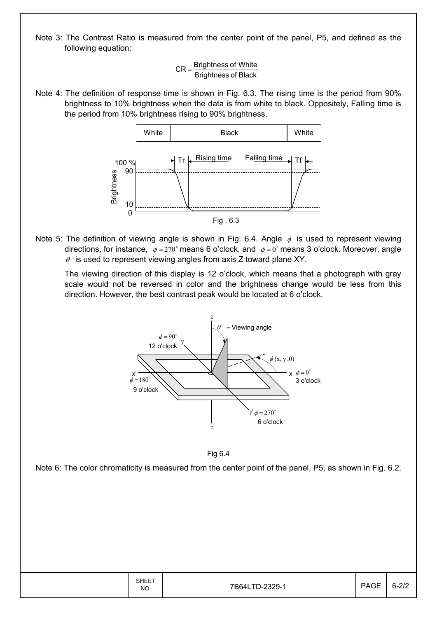Note 3: The Contrast Ratio is measured from the center point of the panel, P5, and defined as the following equation:

> Brightness of Black  $CR = \frac{Brightness \space of \space White}{\text{}$

Note 4: The definition of response time is shown in Fig. 6.3. The rising time is the period from 90% brightness to 10% brightness when the data is from white to black. Oppositely, Falling time is the period from 10% brightness rising to 90% brightness.



Note 5: The definition of viewing angle is shown in Fig. 6.4. Angle  $\phi$  is used to represent viewing directions, for instance,  $\phi = 270^\circ$  means 6 o'clock, and  $\phi = 0^\circ$  means 3 o'clock. Moreover, angle  $\theta$  is used to represent viewing angles from axis Z toward plane XY.

 The viewing direction of this display is 12 o'clock, which means that a photograph with gray scale would not be reversed in color and the brightness change would be less from this direction. However, the best contrast peak would be located at 6 o'clock.



Fig 6.4

Note 6: The color chromaticity is measured from the center point of the panel, P5, as shown in Fig. 6.2.

| <b>SHEET</b><br>NO. | 7B64LTD-2329-1 | <b>PAGE</b> | $\sim$ |
|---------------------|----------------|-------------|--------|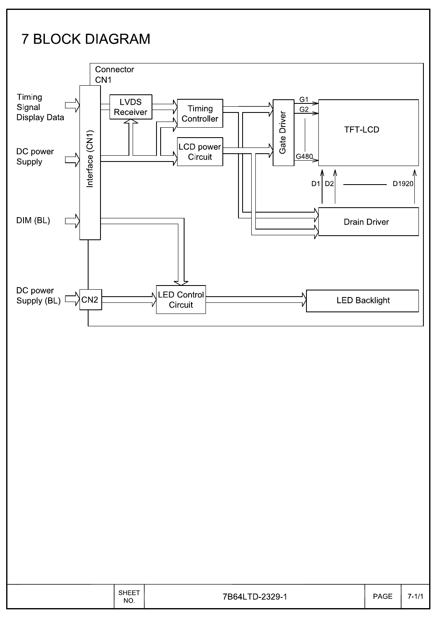# **7 BLOCK DIAGRAM**



|  | <b>SHEET</b><br>NO. | 7B641<br>$-2329-$<br>$TD_{\texttt{-}2}$<br>◡<br>. . | <b>PAGE</b> | 7.414<br>$\mathbf{r}$<br>., |
|--|---------------------|-----------------------------------------------------|-------------|-----------------------------|
|--|---------------------|-----------------------------------------------------|-------------|-----------------------------|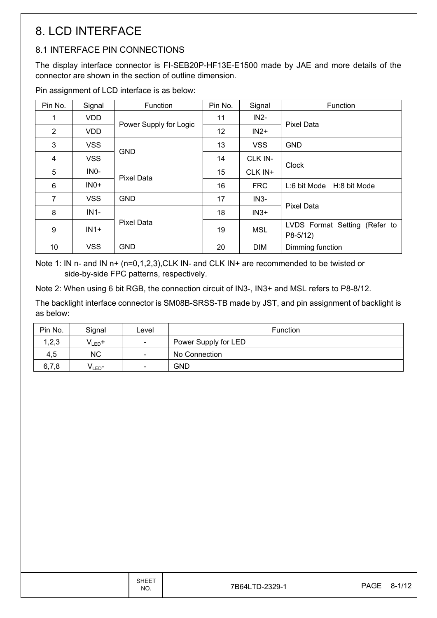### 8. LCD INTERFACE

### 8.1 INTERFACE PIN CONNECTIONS

The display interface connector is FI-SEB20P-HF13E-E1500 made by JAE and more details of the connector are shown in the section of outline dimension.

Pin assignment of LCD interface is as below:

| Pin No.        | Signal            | Function               | Pin No. | Signal     | Function                                   |
|----------------|-------------------|------------------------|---------|------------|--------------------------------------------|
|                | <b>VDD</b>        |                        | 11      | $IN2-$     |                                            |
| $\overline{2}$ | <b>VDD</b>        | Power Supply for Logic | 12      | $IN2+$     | <b>Pixel Data</b>                          |
| 3              | <b>VSS</b>        | <b>GND</b>             | 13      | <b>VSS</b> | <b>GND</b>                                 |
| 4              | <b>VSS</b>        |                        | 14      | CLK IN-    |                                            |
| 5              | IN <sub>0</sub> - | <b>Pixel Data</b>      | 15      | CLK IN+    | Clock                                      |
| 6              | $INO+$            |                        | 16      | <b>FRC</b> | L:6 bit Mode H:8 bit Mode                  |
| $\overline{7}$ | <b>VSS</b>        | <b>GND</b>             | 17      | $IN3-$     |                                            |
| 8              | $IN1-$            |                        | 18      | $IN3+$     | <b>Pixel Data</b>                          |
| 9              | $IN1+$            | <b>Pixel Data</b>      | 19      | <b>MSL</b> | LVDS Format Setting (Refer to<br>$P8-5/12$ |
| 10             | <b>VSS</b>        | <b>GND</b>             | 20      | <b>DIM</b> | Dimming function                           |

Note 1: IN n- and IN n+ (n=0,1,2,3), CLK IN- and CLK IN+ are recommended to be twisted or side-by-side FPC patterns, respectively.

Note 2: When using 6 bit RGB, the connection circuit of IN3-, IN3+ and MSL refers to P8-8/12.

The backlight interface connector is SM08B-SRSS-TB made by JST, and pin assignment of backlight is as below:

| Pin No. | Signal             | Level                        | <b>Function</b>      |
|---------|--------------------|------------------------------|----------------------|
| 1,2,3   | $V_{LED}$ +        | $\overline{\phantom{a}}$     | Power Supply for LED |
| 4,5     | <b>NC</b>          | $\overline{\phantom{a}}$     | No Connection        |
| 6,7,8   | V <sub>LED</sub> - | $\qquad \qquad \blacksquare$ | GND                  |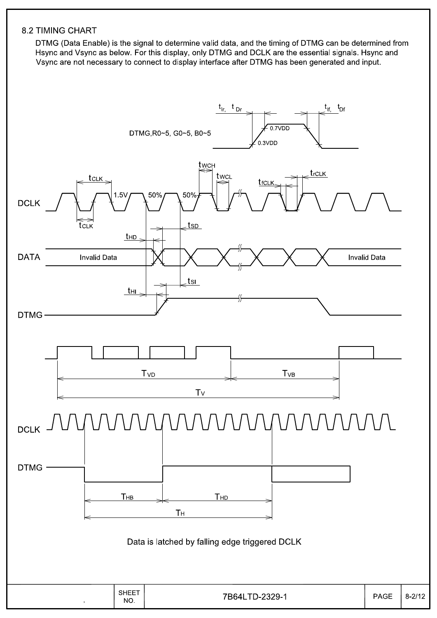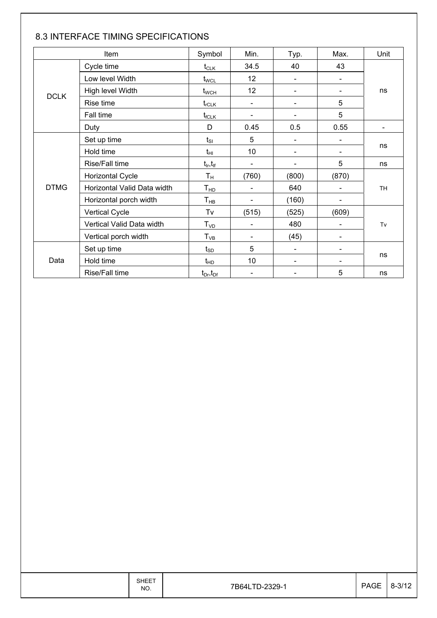|             | Item                        | Symbol                          | Min.                     | Typ.                     | Max.                     | Unit                     |
|-------------|-----------------------------|---------------------------------|--------------------------|--------------------------|--------------------------|--------------------------|
|             | Cycle time                  | $t_{CLK}$                       | 34.5                     | 40                       | 43                       |                          |
|             | Low level Width             | $t_{\text{WCL}}$                | 12                       |                          |                          |                          |
|             | High level Width            | $t_{\scriptscriptstyle\rm WCH}$ | 12                       |                          |                          | ns                       |
| <b>DCLK</b> | Rise time                   | $t_{rCLK}$                      | $\overline{\phantom{a}}$ |                          | 5                        |                          |
|             | Fall time                   | $t_{fCLK}$                      | $\overline{\phantom{a}}$ |                          | 5                        |                          |
|             | Duty                        | D                               | 0.45                     | 0.5                      | 0.55                     | $\overline{\phantom{a}}$ |
|             | Set up time                 | $t_{\rm SI}$                    | 5                        | $\blacksquare$           |                          |                          |
|             | Hold time                   | $t_{\rm HI}$                    | 10                       | $\overline{\phantom{a}}$ |                          | ns                       |
|             | Rise/Fall time              | $t_{\sf lr}, t_{\sf lf}$        | $\blacksquare$           | $\overline{\phantom{a}}$ | 5                        | ns                       |
|             | Horizontal Cycle            | $T_{\rm H}$                     | (760)                    | (800)                    | (870)                    |                          |
| <b>DTMG</b> | Horizontal Valid Data width | T <sub>HD</sub>                 | $\blacksquare$           | 640                      |                          | <b>TH</b>                |
|             | Horizontal porch width      | $\mathsf{T}_{\mathsf{HB}}$      |                          | (160)                    |                          |                          |
|             | <b>Vertical Cycle</b>       | Tv                              | (515)                    | (525)                    | (609)                    |                          |
|             | Vertical Valid Data width   | T <sub>VD</sub>                 | $\overline{\phantom{a}}$ | 480                      |                          | Tv                       |
|             | Vertical porch width        | $T_{VB}$                        | $\blacksquare$           | (45)                     | $\overline{\phantom{0}}$ |                          |
|             | Set up time                 | $t_{SD}$                        | 5                        | $\blacksquare$           |                          |                          |
| Data        | Hold time                   | $t_{HD}$                        | 10                       |                          |                          | ns                       |
|             | Rise/Fall time              | $t_{Dr}, t_{Dr}$                |                          |                          | 5                        | ns                       |

#### 8.3 INTERFACE TIMING SPECIFICATIONS

|  | <b>SHEET</b><br>NO. | 7B64LTD-2329-1 | PAGE   8-3/12 |  |
|--|---------------------|----------------|---------------|--|
|--|---------------------|----------------|---------------|--|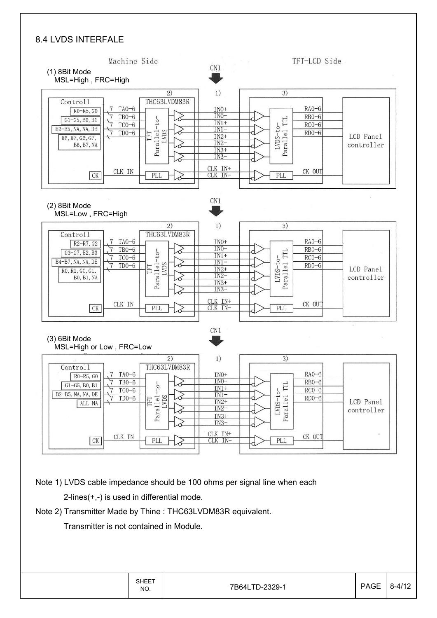#### 8.4 LVDS INTERFALE



SHEET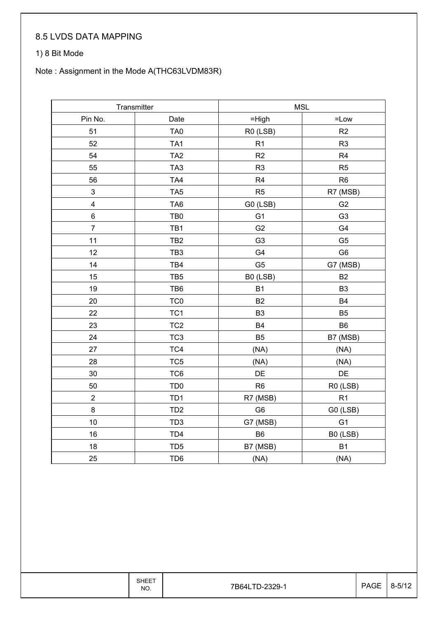### 8.5 LVDS DATA MAPPING

#### 1) 8 Bit Mode

### Note : Assignment in the Mode A(THC63LVDM83R)

|                         | Transmitter     |                | <b>MSL</b>     |  |  |  |
|-------------------------|-----------------|----------------|----------------|--|--|--|
| Pin No.                 | Date            | $=$ High       | $=$ Low        |  |  |  |
| 51                      | TA0             | R0 (LSB)       | R2             |  |  |  |
| 52                      | TA <sub>1</sub> | R <sub>1</sub> | R <sub>3</sub> |  |  |  |
| 54                      | TA <sub>2</sub> | R <sub>2</sub> | R4             |  |  |  |
| 55                      | TA <sub>3</sub> | R <sub>3</sub> | R <sub>5</sub> |  |  |  |
| 56                      | TA4             | R4             | R <sub>6</sub> |  |  |  |
| $\mathsf 3$             | TA <sub>5</sub> | R <sub>5</sub> | R7 (MSB)       |  |  |  |
| $\overline{\mathbf{4}}$ | TA <sub>6</sub> | G0 (LSB)       | G <sub>2</sub> |  |  |  |
| 6                       | TB <sub>0</sub> | G <sub>1</sub> | G <sub>3</sub> |  |  |  |
| $\overline{7}$          | TB1             | G <sub>2</sub> | G4             |  |  |  |
| 11                      | TB <sub>2</sub> | G <sub>3</sub> | G <sub>5</sub> |  |  |  |
| 12                      | TB <sub>3</sub> | G4             | G <sub>6</sub> |  |  |  |
| 14                      | TB4             | G <sub>5</sub> | G7 (MSB)       |  |  |  |
| 15                      | TB <sub>5</sub> | B0 (LSB)       | B <sub>2</sub> |  |  |  |
| 19                      | TB6             | B <sub>1</sub> | B <sub>3</sub> |  |  |  |
| 20                      | TC <sub>0</sub> | B <sub>2</sub> | <b>B4</b>      |  |  |  |
| 22                      | TC <sub>1</sub> | B <sub>3</sub> | B <sub>5</sub> |  |  |  |
| 23                      | TC <sub>2</sub> | B <sub>4</sub> | B <sub>6</sub> |  |  |  |
| 24                      | TC <sub>3</sub> | <b>B5</b>      | B7 (MSB)       |  |  |  |
| 27                      | TC4             | (NA)           | (NA)           |  |  |  |
| 28                      | TC <sub>5</sub> | (NA)           | (NA)           |  |  |  |
| 30                      | TC6             | DE             | DE             |  |  |  |
| 50                      | TD <sub>0</sub> | R <sub>6</sub> | R0 (LSB)       |  |  |  |
| $\boldsymbol{2}$        | TD <sub>1</sub> | R7 (MSB)       | R <sub>1</sub> |  |  |  |
| 8                       | TD <sub>2</sub> | G <sub>6</sub> | G0 (LSB)       |  |  |  |
| 10                      | TD <sub>3</sub> | G7 (MSB)       | G <sub>1</sub> |  |  |  |
| 16                      | TD <sub>4</sub> | B <sub>6</sub> | B0 (LSB)       |  |  |  |
| 18                      | TD <sub>5</sub> | B7 (MSB)       | B <sub>1</sub> |  |  |  |
| 25                      | TD <sub>6</sub> | (NA)           | (NA)           |  |  |  |

SHEET<br>NO.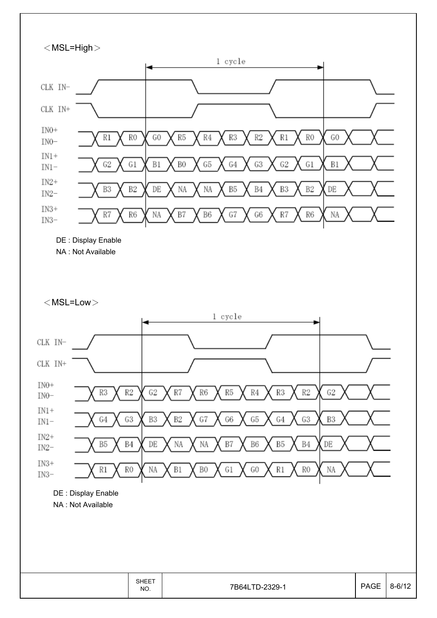

 $<$  MSL=Low $>$ 



7B64LTD-2329-1

**SHEET** 

NO.

 $8 - 6/12$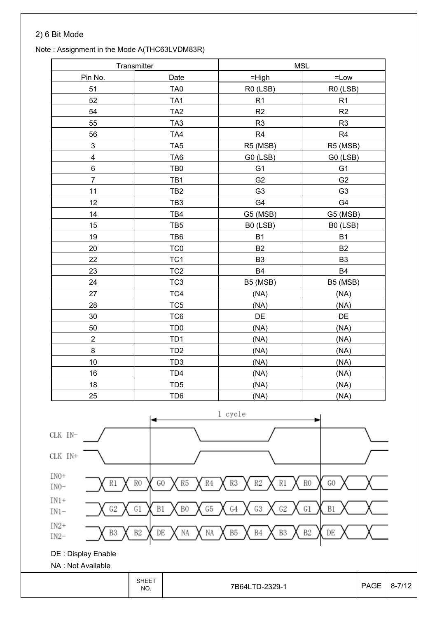#### 2) 6 Bit Mode

#### Note : Assignment in the Mode A(THC63LVDM83R)

|                           | Transmitter     |                | <b>MSL</b>     |
|---------------------------|-----------------|----------------|----------------|
| Pin No.                   | Date            | $=$ High       | $=$ Low        |
| 51                        | TA <sub>0</sub> | R0 (LSB)       | R0 (LSB)       |
| 52                        | TA <sub>1</sub> | R <sub>1</sub> | R1             |
| 54                        | TA <sub>2</sub> | R2             | R2             |
| 55                        | TA <sub>3</sub> | R <sub>3</sub> | R <sub>3</sub> |
| 56                        | TA4             | R <sub>4</sub> | R4             |
| $\ensuremath{\mathsf{3}}$ | TA <sub>5</sub> | R5 (MSB)       | R5 (MSB)       |
| $\overline{\mathbf{4}}$   | TA <sub>6</sub> | G0 (LSB)       | G0 (LSB)       |
| 6                         | TB <sub>0</sub> | G <sub>1</sub> | G <sub>1</sub> |
| $\overline{7}$            | TB1             | G <sub>2</sub> | G <sub>2</sub> |
| 11                        | TB <sub>2</sub> | G <sub>3</sub> | G <sub>3</sub> |
| 12                        | TB <sub>3</sub> | G4             | G4             |
| 14                        | TB4             | G5 (MSB)       | G5 (MSB)       |
| 15                        | TB <sub>5</sub> | B0 (LSB)       | B0 (LSB)       |
| 19                        | TB6             | <b>B1</b>      | <b>B1</b>      |
| 20                        | TC <sub>0</sub> | <b>B2</b>      | <b>B2</b>      |
| 22                        | TC <sub>1</sub> | B <sub>3</sub> | B <sub>3</sub> |
| 23                        | TC <sub>2</sub> | <b>B4</b>      | <b>B4</b>      |
| 24                        | TC <sub>3</sub> | B5 (MSB)       | B5 (MSB)       |
| 27                        | TC4             | (NA)           | (NA)           |
| 28                        | TC <sub>5</sub> | (NA)           | (NA)           |
| 30                        | TC6             | DE             | DE             |
| 50                        | TD <sub>0</sub> | (NA)           | (NA)           |
| $\overline{2}$            | TD <sub>1</sub> | (NA)           | (NA)           |
| $\bf 8$                   | TD <sub>2</sub> | (NA)           | (NA)           |
| 10                        | TD <sub>3</sub> | (NA)           | (NA)           |
| 16                        | TD4             | (NA)           | (NA)           |
| 18                        | TD <sub>5</sub> | (NA)           | (NA)           |
| 25                        | TD <sub>6</sub> | (NA)           | (NA)           |

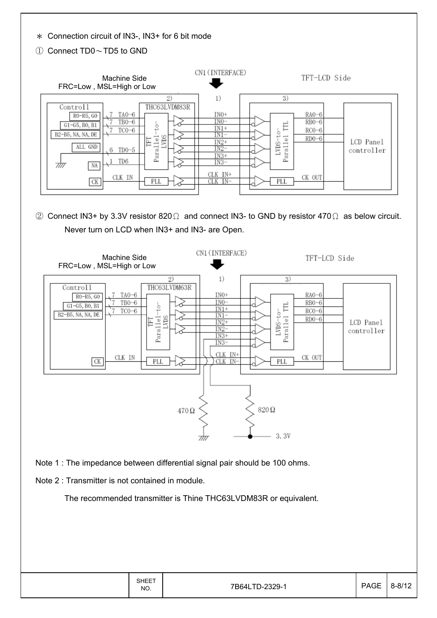Ϡ Connection circuit of IN3-, IN3+ for 6 bit mode

Ԙ Connect TD0ДTD5 to GND

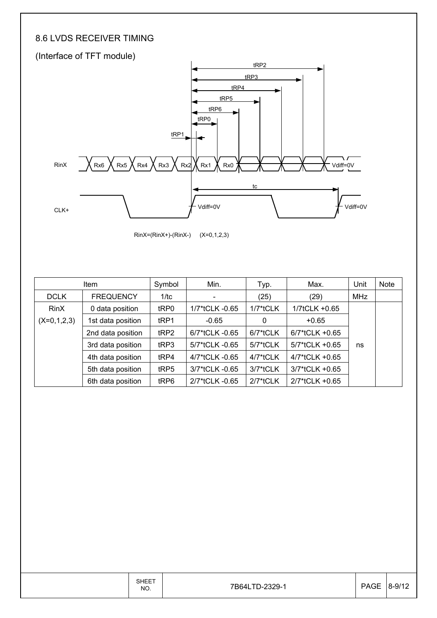### 8.6 LVDS RECEIVER TIMING



RinX=(RinX+)-(RinX-) (X=0,1,2,3)

|               | Item              |                  | Min.           | Typ.        | Max.           | Unit | <b>Note</b> |
|---------------|-------------------|------------------|----------------|-------------|----------------|------|-------------|
| <b>DCLK</b>   | <b>FREQUENCY</b>  | 1/tc             | $\blacksquare$ | (25)        | (29)           | MHz  |             |
| <b>RinX</b>   | 0 data position   | tRP0             | 1/7*tCLK -0.65 | $1/7$ *tCLK | 1/7tCLK +0.65  |      |             |
| $(X=0,1,2,3)$ | 1st data position | t <sub>RP1</sub> | $-0.65$        | 0           | $+0.65$        |      |             |
|               | 2nd data position | tRP2             | 6/7*tCLK -0.65 | 6/7*tCLK    | 6/7*tCLK +0.65 |      |             |
|               | 3rd data position | t <sub>RP3</sub> | 5/7*tCLK -0.65 | 5/7*tCLK    | 5/7*tCLK +0.65 | ns   |             |
|               | 4th data position | tRP4             | 4/7*tCLK -0.65 | 4/7*tCLK    | 4/7*tCLK +0.65 |      |             |
|               | 5th data position | tRP5             | 3/7*tCLK -0.65 | $3/7$ *tCLK | 3/7*tCLK +0.65 |      |             |
|               | 6th data position | tRP6             | 2/7*tCLK -0.65 | $2/7$ *tCLK | 2/7*tCLK +0.65 |      |             |

|  | <b>SHEET</b><br>NO. | 7B64LTD-2329-1 | <b>PAGE</b> | 8-9/12 |
|--|---------------------|----------------|-------------|--------|
|--|---------------------|----------------|-------------|--------|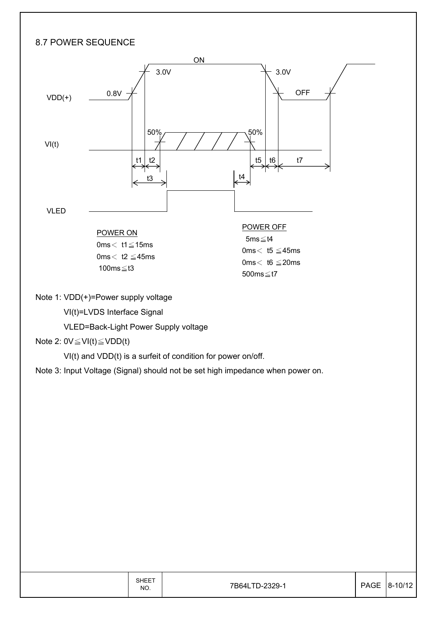### 8.7 POWER SEQUENCE



Note 1: VDD(+)=Power supply voltage

VI(t)=LVDS Interface Signal

VLED=Back-Light Power Supply voltage

#### Note 2:  $0V \leq VI(t) \leq VDD(t)$

VI(t) and VDD(t) is a surfeit of condition for power on/off.

Note 3: Input Voltage (Signal) should not be set high impedance when power on.

| SHEET<br>NO. | 7B64LTD-2329-1 | PAGE 8-10/12 |
|--------------|----------------|--------------|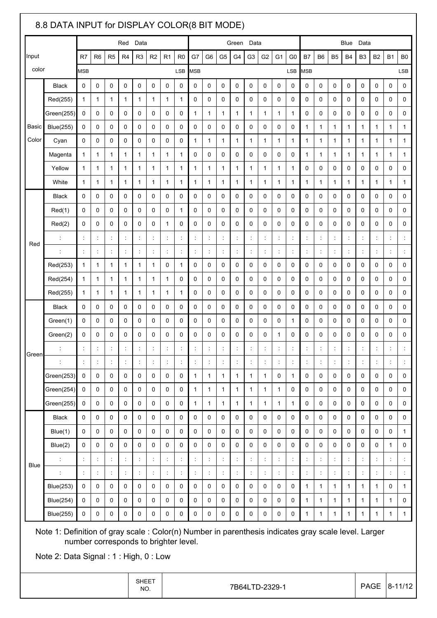|             | 8.8 DATA INPUT for DISPLAY COLOR(8 BIT MODE)                                                                                                 |                      |                      |                          |                      |                      |                      |                      |                                       |                              |                              |                              |                              |                              |                              |                                      |                      |                            |                |                      |                      |                  |                      |                      |                                            |
|-------------|----------------------------------------------------------------------------------------------------------------------------------------------|----------------------|----------------------|--------------------------|----------------------|----------------------|----------------------|----------------------|---------------------------------------|------------------------------|------------------------------|------------------------------|------------------------------|------------------------------|------------------------------|--------------------------------------|----------------------|----------------------------|----------------|----------------------|----------------------|------------------|----------------------|----------------------|--------------------------------------------|
|             |                                                                                                                                              |                      |                      |                          | Red                  | Data                 |                      |                      |                                       |                              |                              |                              | Green                        | Data                         |                              |                                      |                      | <b>Blue</b><br>Data        |                |                      |                      |                  |                      |                      |                                            |
| Input       |                                                                                                                                              | R7                   | R <sub>6</sub>       | R <sub>5</sub>           | R <sub>4</sub>       | R <sub>3</sub>       | R <sub>2</sub>       | R1                   | R <sub>0</sub>                        | G7                           | G6                           | G <sub>5</sub>               | G <sub>4</sub>               | G3                           | G <sub>2</sub>               | G1                                   | G0                   | <b>B7</b>                  | B <sub>6</sub> | <b>B5</b>            | <b>B4</b>            | B <sub>3</sub>   | <b>B2</b>            | <b>B1</b>            | B <sub>0</sub>                             |
| color       |                                                                                                                                              | <b>MSB</b>           |                      |                          |                      |                      |                      |                      | <b>LSB</b>                            | <b>MSB</b>                   |                              |                              |                              |                              |                              |                                      | LSB                  | <b>MSB</b>                 |                |                      |                      |                  |                      |                      | LSB                                        |
|             | <b>Black</b>                                                                                                                                 | 0                    | 0                    | 0                        | 0                    | 0                    | 0                    | 0                    | 0                                     | 0                            | 0                            | 0                            | 0                            | 0                            | 0                            | 0                                    | 0                    | 0                          | 0              | 0                    | 0                    | 0                | 0                    | 0                    | 0                                          |
|             | Red(255)                                                                                                                                     | 1                    | $\mathbf{1}$         | $\mathbf{1}$             | $\mathbf{1}$         | $\mathbf{1}$         | $\mathbf{1}$         | 1                    | $\mathbf{1}$                          | 0                            | 0                            | $\mathbf 0$                  | 0                            | 0                            | 0                            | 0                                    | 0                    | 0                          | 0              | 0                    | 0                    | 0                | 0                    | 0                    | 0                                          |
|             | Green(255)                                                                                                                                   | 0                    | 0                    | 0                        | 0                    | 0                    | 0                    | 0                    | 0                                     | $\mathbf{1}$                 | $\mathbf 1$                  | 1                            | $\mathbf{1}$                 | $\mathbf 1$                  | 1                            | $\mathbf{1}$                         | $\mathbf 1$          | 0                          | 0              | 0                    | 0                    | 0                | 0                    | 0                    | 0                                          |
| Basic       | <b>Blue(255)</b>                                                                                                                             | 0                    | 0                    | 0                        | 0                    | 0                    | 0                    | 0                    | 0                                     | 0                            | 0                            | $\mathbf 0$                  | 0                            | 0                            | 0                            | 0                                    | 0                    | $\mathbf{1}$               | $\mathbf{1}$   | 1                    | 1                    | $\mathbf{1}$     | 1                    | 1                    | 1                                          |
| Color       | Cyan                                                                                                                                         | 0                    | 0                    | 0                        | 0                    | 0                    | 0                    | 0                    | 0                                     | $\mathbf{1}$                 | 1                            | 1                            | $\mathbf{1}$                 | 1                            | 1                            | $\mathbf{1}$                         | 1                    | $\mathbf{1}$               | $\mathbf{1}$   | 1                    | 1                    | $\mathbf{1}$     | 1                    | 1                    | $\mathbf 1$                                |
|             | Magenta                                                                                                                                      | 1                    | $\mathbf{1}$         | $\mathbf{1}$             | 1                    | $\mathbf{1}$         | $\mathbf{1}$         | 1                    | $\mathbf{1}$                          | 0                            | 0                            | 0                            | 0                            | 0                            | 0                            | 0                                    | 0                    | $\mathbf{1}$               | $\mathbf{1}$   | 1                    | 1                    | $\mathbf{1}$     | 1                    | 1                    | $\mathbf{1}$                               |
|             | Yellow                                                                                                                                       | 1                    | 1                    | 1                        | 1                    | 1                    | $\mathbf{1}$         | 1                    | $\mathbf{1}$                          | $\mathbf{1}$                 | 1                            | $\mathbf{1}$                 | $\mathbf{1}$                 | 1                            | 1                            | $\mathbf{1}$                         | 1                    | 0                          | 0              | 0                    | $\mathbf 0$          | 0                | 0                    | 0                    | 0                                          |
|             | White                                                                                                                                        | 1                    | 1                    | 1                        | 1                    | 1                    | 1                    | 1                    | 1                                     | 1                            | 1                            | 1                            | 1                            | 1                            | 1                            | 1                                    | 1                    | 1                          | 1              | 1                    | 1                    | 1                | 1                    | 1                    | 1                                          |
|             | <b>Black</b>                                                                                                                                 | 0                    | 0                    | 0                        | 0                    | 0                    | 0                    | 0                    | 0                                     | 0                            | 0                            | $\mathbf 0$                  | 0                            | 0                            | 0                            | 0                                    | 0                    | 0                          | 0              | 0                    | 0                    | 0                | 0                    | 0                    | 0                                          |
|             | Red(1)                                                                                                                                       | 0                    | 0                    | 0                        | 0                    | 0                    | 0                    | 0                    | $\mathbf{1}$                          | 0                            | 0                            | $\mathbf 0$                  | 0                            | 0                            | 0                            | 0                                    | 0                    | $\mathbf 0$                | 0              | 0                    | 0                    | 0                | 0                    | 0                    | 0                                          |
|             | Red(2)                                                                                                                                       | 0                    | 0                    | 0                        | 0                    | 0                    | 0                    | $\mathbf 1$          | 0                                     | 0                            | 0                            | $\mathbf 0$                  | 0                            | 0                            | 0                            | 0                                    | 0                    | 0                          | $\mathbf 0$    | 0                    | 0                    | 0                | 0                    | 0                    | 0                                          |
| Red         | $\ddot{\phantom{a}}$                                                                                                                         | $\ddot{\cdot}$       | $\ddot{\phantom{a}}$ | t                        | t                    | $\ddot{\phantom{a}}$ | ÷                    | $\ddot{\phantom{a}}$ | $\ddot{\phantom{a}}$                  | ÷                            | $\ddot{\phantom{a}}$         | $\ddot{\phantom{a}}$         | t                            | $\ddot{\phantom{a}}$         | $\ddot{\phantom{a}}$         | t                                    | t                    | $\ddot{\phantom{a}}$       | ÷              | ċ                    | $\ddot{\cdot}$       | t,               | $\ddot{\phantom{a}}$ | t                    |                                            |
|             | $\ddot{\cdot}$                                                                                                                               | t                    | $\ddot{\phantom{a}}$ | $\ddot{\phantom{a}}$     | t                    | $\ddot{\phantom{a}}$ | $\ddot{\phantom{a}}$ | $\ddot{\cdot}$       | $\ddot{\cdot}$                        | t                            | $\ddot{\phantom{a}}$         | $\ddot{\cdot}$               | $\ddot{\cdot}$               | $\ddot{\cdot}$               | $\ddot{\cdot}$               | $\ddot{\cdot}$                       | $\ddot{\cdot}$       | $\ddot{\phantom{a}}$       | ÷              | $\ddot{\cdot}$       | $\ddot{\phantom{a}}$ | ÷                | $\ddot{\phantom{a}}$ | $\ddot{\cdot}$       | $\ddot{\phantom{a}}$                       |
|             | Red(253)                                                                                                                                     | 1                    | 1                    | $\mathbf{1}$             | 1                    | $\mathbf{1}$         | $\mathbf{1}$         | 0                    | $\mathbf{1}$                          | 0                            | 0                            | $\mathbf 0$                  | 0                            | 0                            | 0                            | 0                                    | 0                    | $\mathbf 0$                | 0              | 0                    | 0                    | 0                | 0                    | 0                    | 0                                          |
|             | Red(254)                                                                                                                                     | 1                    | $\mathbf{1}$         | 1                        | 1                    | $\mathbf{1}$         | $\mathbf{1}$         | $\mathbf 1$          | 0                                     | 0                            | 0                            | 0                            | 0                            | 0                            | 0                            | 0                                    | 0                    | $\mathbf 0$                | 0              | 0                    | 0                    | 0                | 0                    | 0                    | 0                                          |
|             | Red(255)                                                                                                                                     | 1                    | $\mathbf{1}$         | $\mathbf{1}$             | 1                    | $\mathbf{1}$         | $\mathbf{1}$         | 1                    | $\mathbf{1}$                          | 0                            | 0                            | 0                            | 0                            | 0                            | 0                            | 0                                    | 0                    | 0                          | 0              | 0                    | $\mathbf 0$          | $\mathbf 0$      | 0                    | 0                    | 0                                          |
|             | <b>Black</b>                                                                                                                                 | 0                    | 0                    | 0                        | 0                    | 0                    | 0                    | 0                    | 0                                     | 0                            | 0                            | $\mathbf 0$                  | 0                            | 0                            | $\mathbf 0$                  | 0                                    | 0                    | $\mathbf 0$                | 0              | 0                    | 0                    | 0                | 0                    | 0                    | 0                                          |
|             | Green(1)                                                                                                                                     | 0                    | 0                    | 0                        | 0                    | 0                    | 0                    | 0                    | 0                                     | 0                            | 0                            | $\mathbf 0$                  | 0                            | 0                            | 0                            | 0                                    | $\mathbf 1$          | 0                          | 0              | 0                    | 0                    | 0                | 0                    | 0                    | 0                                          |
|             | Green(2)                                                                                                                                     | 0                    | 0                    | 0                        | 0                    | 0                    | 0                    | 0                    | 0                                     | 0                            | 0                            | 0                            | 0                            | 0                            | 0                            | $\mathbf{1}$                         | 0                    | 0                          | 0              | 0                    | 0                    | 0                | 0                    | 0                    | 0                                          |
| Green       |                                                                                                                                              | $\ddot{\cdot}$       | $\ddot{\phantom{a}}$ | $\ddot{\phantom{a}}$     | $\ddot{\cdot}$       | $\ddot{\phantom{a}}$ | $\ddot{\phantom{a}}$ | $\ddot{\phantom{a}}$ | $\ddot{\cdot}$                        | $\ddot{\phantom{a}}$         | $\ddot{\phantom{a}}$         | $\ddot{\cdot}$               | t                            | $\ddot{\phantom{a}}$         | $\ddot{\phantom{a}}$         | $\ddot{\phantom{a}}$                 | $\ddot{\phantom{a}}$ | $\ddot{\phantom{a}}$       | $\ddot{.}$     | ċ                    | $\ddot{\cdot}$       | ÷                | $\ddot{\phantom{a}}$ | $\ddot{\cdot}$       |                                            |
|             | t                                                                                                                                            | $\ddot{\cdot}$       | $\ddot{\phantom{a}}$ | $\ddot{\phantom{a}}$     | t                    | $\ddot{\phantom{a}}$ | ÷                    | $\ddot{\phantom{a}}$ | $\ddot{\cdot}$                        | t,                           | $\ddot{\phantom{a}}$         | $\ddot{\cdot}$               | ÷                            | $\ddot{\phantom{a}}$         | $\ddot{\phantom{a}}$         | $\ddot{\ddot{\phantom{}}\phantom{}}$ | ÷                    | $\ddot{\phantom{a}}$       | ÷              | t                    | $\ddot{\cdot}$       | ÷                | $\ddot{\phantom{a}}$ | $\ddot{\phantom{a}}$ | $\ddot{\phantom{a}}$                       |
|             | Green(253)                                                                                                                                   | 0                    | 0                    | 0                        | 0                    | 0                    | 0                    | 0                    | 0                                     | $\mathbf{1}$                 | $\mathbf{1}$                 | $\mathbf{1}$                 | $\mathbf{1}$                 | $\mathbf{1}$                 | $\mathbf{1}$                 | $\pmb{0}$                            | $\mathbf{1}$         | $\pmb{0}$                  | $\pmb{0}$      | $\pmb{0}$            | 0                    | $\mathbf 0$      | 0                    | 0                    | $\mathbf 0$                                |
|             | Green(254)<br>Green(255)                                                                                                                     | 0<br>0               | $\mathsf 0$<br>0     | $\mathsf{O}\xspace$<br>0 | 0<br>0               | $\mathsf 0$<br>0     | 0<br>0               | 0<br>0               | $\pmb{0}$<br>0                        | $\mathbf{1}$<br>$\mathbf{1}$ | $\mathbf{1}$<br>$\mathbf{1}$ | $\mathbf{1}$<br>$\mathbf{1}$ | $\mathbf{1}$<br>$\mathbf{1}$ | $\mathbf{1}$<br>$\mathbf{1}$ | $\mathbf{1}$<br>$\mathbf{1}$ | $\mathbf{1}$<br>$\mathbf{1}$         | 0<br>$\mathbf{1}$    | $\mathbf 0$<br>$\mathbf 0$ | 0<br>$\pmb{0}$ | 0<br>$\pmb{0}$       | 0<br>0               | 0<br>$\mathbf 0$ | 0<br>0               | 0<br>0               | $\mathsf{O}\xspace$<br>$\mathsf{O}\xspace$ |
|             |                                                                                                                                              |                      | 0                    | $\mathbf 0$              | 0                    | 0                    | 0                    | 0                    | 0                                     | $\mathbf 0$                  | 0                            | $\mathbf 0$                  | $\mathbf 0$                  | 0                            | 0                            | $\mathbf 0$                          | 0                    | $\mathbf 0$                | $\mathbf 0$    | 0                    | $\mathbf 0$          | 0                | 0                    | $\mathbf 0$          | $\mathbf 0$                                |
|             | <b>Black</b><br>Blue(1)                                                                                                                      | 0<br>0               | $\mathbf 0$          | 0                        | 0                    | $\mathbf 0$          | 0                    | 0                    | $\mathbf 0$                           | $\Omega$                     | 0                            | $\mathbf 0$                  | $\mathbf 0$                  | 0                            | $\mathbf 0$                  | $\mathbf 0$                          | 0                    | $\mathbf 0$                | $\mathbf 0$    | $\mathbf 0$          | $\mathbf 0$          | 0                | 0                    | $\mathbf 0$          | $\mathbf{1}$                               |
|             | Blue(2)                                                                                                                                      | 0                    | 0                    | 0                        | 0                    | 0                    | 0                    | 0                    | 0                                     | 0                            | 0                            | 0                            | 0                            | 0                            | 0                            | $\mathbf 0$                          | 0                    | 0                          | 0              | $\mathbf 0$          | 0                    | $\mathbf 0$      | 0                    | $\mathbf{1}$         | $\mathsf{O}\xspace$                        |
|             | $\ddot{\phantom{a}}$                                                                                                                         | $\ddot{\phantom{a}}$ | $\ddot{\cdot}$       | $\ddot{\phantom{a}}$     | $\ddot{\phantom{a}}$ | $\ddot{\cdot}$       | $\ddot{\cdot}$       | $\ddot{\phantom{a}}$ | $\ddot{\phantom{a}}$                  | t,                           | $\ddot{\phantom{a}}$         | $\ddot{\cdot}$               | t,                           | $\ddot{\phantom{a}}$         | $\ddot{\cdot}$               | t,                                   | $\ddot{\cdot}$       | $\ddot{\phantom{a}}$       | $\ddot{\cdot}$ | $\ddot{\phantom{a}}$ | $\ddot{\cdot}$       | t,               | $\ddot{\phantom{a}}$ | $\ddot{\phantom{a}}$ | İ,                                         |
| <b>Blue</b> |                                                                                                                                              | $\ddot{\cdot}$       | $\ddot{\cdot}$       | $\ddot{\cdot}$           | $\ddot{\cdot}$       | $\ddot{\cdot}$       | $\ddot{\cdot}$       | $\ddot{\phantom{a}}$ | $\overline{\phantom{a}}$              | ÷.                           | $\ddot{\phantom{a}}$         | $\ddot{\phantom{a}}$         | t,                           | $\ddot{.}$                   | $\frac{1}{2}$                | t,                                   | $\ddot{\phantom{a}}$ | $\ddot{\cdot}$             | $\ddot{\cdot}$ | ÷                    | $\ddot{\cdot}$       | t,               | $\ddot{.}$           | $\ddot{\cdot}$       | $\ddot{\phantom{a}}$                       |
|             | <b>Blue(253)</b>                                                                                                                             | 0                    | $\mathsf 0$          | $\mathsf 0$              | 0                    | $\mathbf 0$          | $\mathsf{O}\xspace$  | 0                    | $\pmb{0}$                             | 0                            | 0                            | $\mathbf 0$                  | 0                            | 0                            | 0                            | 0                                    | 0                    | $\mathbf{1}$               | $\mathbf{1}$   | 1                    | $\mathbf{1}$         | $\mathbf{1}$     | $\mathbf{1}$         | $\mathsf{O}\xspace$  | $\mathbf{1}$                               |
|             | <b>Blue(254)</b>                                                                                                                             | 0                    | 0                    | 0                        | 0                    | 0                    | $\mathsf{O}\xspace$  | 0                    | $\mathbf 0$                           | 0                            | 0                            | $\mathbf 0$                  | $\mathbf 0$                  | 0                            | $\mathbf 0$                  | $\pmb{0}$                            | 0                    | $\mathbf{1}$               | $\mathbf{1}$   | $\mathbf{1}$         | $\mathbf{1}$         | $\mathbf{1}$     | $\mathbf{1}$         | $\mathbf{1}$         | 0                                          |
|             | <b>Blue(255)</b>                                                                                                                             | 0                    | 0                    | 0                        | 0                    | 0                    | 0                    | 0                    | $\mathbf 0$                           | 0                            | 0                            | $\mathbf 0$                  | 0                            | 0                            | $\mathbf 0$                  | 0                                    | 0                    | $\mathbf{1}$               | $\mathbf{1}$   | 1                    | $\mathbf{1}$         | $\mathbf{1}$     | $\mathbf{1}$         | $\mathbf{1}$         | $\mathbf{1}$                               |
|             | Note 1: Definition of gray scale : Color(n) Number in parenthesis indicates gray scale level. Larger<br>Note 2: Data Signal: 1: High, 0: Low |                      |                      |                          |                      |                      |                      |                      | number corresponds to brighter level. |                              |                              |                              |                              |                              |                              |                                      |                      |                            |                |                      |                      |                  |                      |                      |                                            |

| SHEET |  |
|-------|--|
| NO.   |  |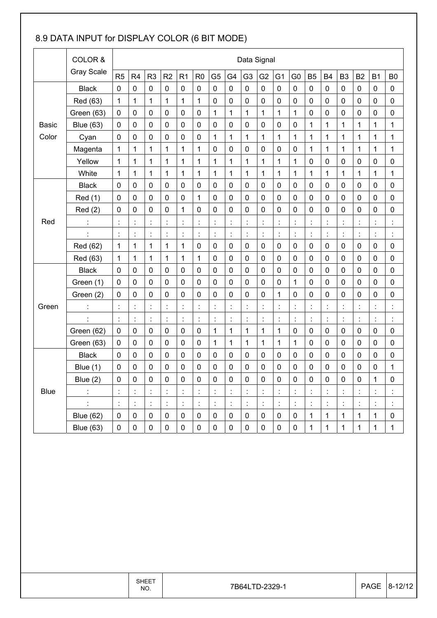### 8.9 DATA INPUT for DISPLAY COLOR (6 BIT MODE)

|                       | COLOR &           |                | Data Signal          |                      |                |                      |                |                      |                |                |                      |                      |                  |                      |              |                |                |                |                      |
|-----------------------|-------------------|----------------|----------------------|----------------------|----------------|----------------------|----------------|----------------------|----------------|----------------|----------------------|----------------------|------------------|----------------------|--------------|----------------|----------------|----------------|----------------------|
|                       | <b>Gray Scale</b> | R <sub>5</sub> | R4                   | R <sub>3</sub>       | R2             | R <sub>1</sub>       | R <sub>0</sub> | G <sub>5</sub>       | G4             | G <sub>3</sub> | G <sub>2</sub>       | G <sub>1</sub>       | G <sub>0</sub>   | <b>B5</b>            | <b>B4</b>    | B <sub>3</sub> | <b>B2</b>      | <b>B1</b>      | B <sub>0</sub>       |
|                       | <b>Black</b>      | $\mathbf 0$    | 0                    | $\mathbf 0$          | $\mathbf 0$    | $\mathbf 0$          | $\mathbf 0$    | $\mathbf 0$          | 0              | 0              | $\mathbf 0$          | $\mathbf 0$          | $\mathbf 0$      | $\mathbf 0$          | 0            | 0              | $\mathbf 0$    | $\mathbf 0$    | 0                    |
| <b>Basic</b><br>Color | Red (63)          | 1              | 1                    | $\mathbf{1}$         | $\mathbf{1}$   | 1                    | $\mathbf{1}$   | $\mathbf 0$          | 0              | $\mathbf 0$    | 0                    | $\mathbf 0$          | $\mathbf 0$      | $\mathbf 0$          | $\mathbf 0$  | 0              | $\mathbf 0$    | $\mathbf 0$    | 0                    |
|                       | Green (63)        | $\mathbf 0$    | $\mathbf 0$          | $\mathbf 0$          | $\mathbf 0$    | $\mathbf 0$          | $\mathbf 0$    | 1                    | 1              | $\mathbf{1}$   | $\mathbf{1}$         | $\mathbf{1}$         | 1                | $\mathbf 0$          | $\mathbf 0$  | 0              | $\mathbf 0$    | $\mathbf 0$    | $\pmb{0}$            |
|                       | <b>Blue (63)</b>  | $\mathbf 0$    | 0                    | $\mathbf 0$          | $\mathbf 0$    | $\mathbf 0$          | $\mathbf 0$    | $\mathbf 0$          | $\mathbf 0$    | $\mathbf 0$    | 0                    | $\mathbf 0$          | $\mathbf 0$      | 1                    | $\mathbf{1}$ | $\mathbf 1$    | 1              | 1              | 1                    |
|                       | Cyan              | 0              | 0                    | $\mathbf 0$          | $\mathbf 0$    | $\mathbf 0$          | $\mathbf 0$    | 1                    | 1              | 1              | $\mathbf{1}$         | 1                    | 1                | 1                    | 1            | 1              | 1              | 1              | 1                    |
|                       | Magenta           | 1              | $\mathbf{1}$         | $\mathbf{1}$         | 1              | 1                    | 1              | $\mathbf 0$          | $\mathbf 0$    | $\mathbf 0$    | 0                    | 0                    | $\mathbf 0$      | 1                    | $\mathbf{1}$ | 1              | 1              | $\mathbf{1}$   | 1                    |
|                       | Yellow            | 1              | 1                    | 1                    | $\mathbf{1}$   | 1                    | $\mathbf 1$    | $\mathbf 1$          | 1              | $\mathbf{1}$   | $\mathbf{1}$         | $\mathbf{1}$         | 1                | $\mathbf 0$          | $\mathbf 0$  | 0              | $\mathbf 0$    | $\mathbf 0$    | 0                    |
|                       | White             | 1              | 1                    | $\mathbf{1}$         | $\mathbf{1}$   | $\mathbf{1}$         | $\mathbf{1}$   | $\mathbf 1$          | $\mathbf{1}$   | $\mathbf{1}$   | $\mathbf{1}$         | $\mathbf{1}$         | 1                | 1                    | $\mathbf{1}$ | 1              | $\mathbf{1}$   | $\mathbf{1}$   | 1                    |
| Red                   | <b>Black</b>      | 0              | 0                    | $\mathbf 0$          | $\mathbf 0$    | $\mathbf 0$          | $\mathbf 0$    | $\pmb{0}$            | 0              | 0              | $\pmb{0}$            | $\mathbf 0$          | $\boldsymbol{0}$ | $\mathbf 0$          | 0            | 0              | $\mathbf 0$    | $\pmb{0}$      | $\pmb{0}$            |
|                       | <b>Red</b> (1)    | 0              | $\mathbf 0$          | $\mathbf 0$          | $\mathbf 0$    | $\boldsymbol{0}$     | 1              | $\mathbf 0$          | $\mathbf 0$    | $\mathbf 0$    | $\pmb{0}$            | $\mathbf 0$          | $\mathbf 0$      | $\mathbf 0$          | $\mathbf 0$  | $\pmb{0}$      | $\mathbf 0$    | $\mathbf 0$    | 0                    |
|                       | Red(2)            | 0              | 0                    | $\mathbf 0$          | $\mathbf 0$    | 1                    | $\mathbf 0$    | $\mathbf 0$          | $\mathbf 0$    | $\mathbf 0$    | 0                    | $\mathbf 0$          | $\mathbf 0$      | $\mathbf 0$          | $\mathbf 0$  | 0              | $\mathbf 0$    | $\mathbf 0$    | $\pmb{0}$            |
|                       |                   | ċ              | $\ddot{\cdot}$       | $\ddot{\cdot}$       | $\ddot{\cdot}$ | $\ddot{\phantom{a}}$ | $\ddot{\cdot}$ | $\ddot{\cdot}$       | ċ              | $\ddot{\cdot}$ | $\ddot{\cdot}$       | ċ                    | $\ddot{\cdot}$   | $\ddot{\cdot}$       | ÷.           | $\ddot{\cdot}$ | $\ddot{\cdot}$ | Ì              | $\ddot{\phantom{a}}$ |
|                       | t                 | $\ddot{\cdot}$ | $\ddot{\cdot}$       | İ                    | $\ddot{\cdot}$ | $\ddot{\cdot}$       | $\ddot{\cdot}$ | $\ddot{\phantom{a}}$ | ÷              | $\ddot{\cdot}$ | $\ddot{\phantom{a}}$ | $\ddot{\cdot}$       | $\ddot{\cdot}$   | $\ddot{\phantom{a}}$ | t            | ÷,             | $\ddot{\cdot}$ | Ì              | t                    |
|                       | Red (62)          | 1              | $\mathbf 1$          | $\mathbf{1}$         | 1              | 1                    | 0              | $\mathbf 0$          | 0              | 0              | 0                    | $\mathbf 0$          | $\mathbf 0$      | $\mathbf 0$          | 0            | 0              | $\mathbf 0$    | $\mathbf 0$    | 0                    |
|                       | Red (63)          | 1              | 1                    | 1                    | $\mathbf{1}$   | 1                    | $\mathbf 1$    | $\mathbf 0$          | 0              | $\mathbf 0$    | 0                    | $\mathbf 0$          | $\mathbf 0$      | $\mathbf 0$          | $\mathbf 0$  | 0              | $\mathbf 0$    | $\mathbf 0$    | $\pmb{0}$            |
|                       | <b>Black</b>      | $\mathbf 0$    | $\mathbf 0$          | $\mathbf 0$          | $\mathbf 0$    | $\mathbf 0$          | $\mathbf 0$    | $\mathbf 0$          | 0              | $\mathbf 0$    | $\mathbf 0$          | $\mathbf 0$          | $\mathbf 0$      | $\mathbf 0$          | $\mathbf 0$  | 0              | $\mathbf 0$    | $\mathbf 0$    | 0                    |
| Green                 | Green (1)         | 0              | 0                    | $\mathbf 0$          | $\mathbf 0$    | $\mathbf 0$          | $\mathbf 0$    | $\pmb{0}$            | $\mathbf 0$    | 0              | $\pmb{0}$            | $\mathbf 0$          | 1                | $\mathbf 0$          | 0            | 0              | $\mathbf 0$    | $\mathbf 0$    | $\pmb{0}$            |
|                       | Green (2)         | 0              | 0                    | $\mathbf 0$          | $\mathbf 0$    | 0                    | $\mathbf 0$    | $\pmb{0}$            | $\mathbf 0$    | $\mathbf 0$    | 0                    | 1                    | $\mathbf 0$      | $\mathbf 0$          | $\mathbf 0$  | 0              | $\mathbf 0$    | $\mathbf 0$    | 0                    |
|                       | ÷                 | t              | $\ddot{\phantom{a}}$ | $\ddot{\phantom{a}}$ | t,             | t,                   | $\ddot{\cdot}$ | $\ddot{\phantom{a}}$ | $\ddot{\cdot}$ | $\ddot{\cdot}$ | $\ddot{\cdot}$       | $\ddot{\phantom{a}}$ | $\ddot{\cdot}$   | $\ddot{\cdot}$       | t            | İ,             | $\ddot{\cdot}$ | ÷,             |                      |
|                       | t                 | $\ddot{\cdot}$ | $\ddot{\cdot}$       | $\ddot{\cdot}$       | $\ddot{\cdot}$ | $\ddot{\phantom{a}}$ | $\ddot{\cdot}$ | t                    | $\ddot{\cdot}$ | $\ddot{\cdot}$ | $\ddot{\cdot}$       | t                    | $\ddot{\cdot}$   | $\ddot{\cdot}$       | t            | $\ddot{\cdot}$ | $\ddot{\cdot}$ | Ì              | $\ddot{\phantom{a}}$ |
|                       | Green (62)        | $\mathbf 0$    | $\pmb{0}$            | $\pmb{0}$            | $\pmb{0}$      | $\pmb{0}$            | $\pmb{0}$      | 1                    | 1              | $\mathbf{1}$   | $\mathbf{1}$         | 1                    | $\mathbf 0$      | $\mathbf 0$          | $\mathbf 0$  | $\pmb{0}$      | $\mathbf 0$    | $\pmb{0}$      | 0                    |
|                       | Green (63)        | 0              | 0                    | $\mathbf 0$          | $\mathbf 0$    | $\mathbf 0$          | $\mathbf 0$    | 1                    | 1              | $\mathbf{1}$   | $\mathbf{1}$         | $\mathbf{1}$         | 1                | $\mathbf 0$          | 0            | 0              | $\mathbf 0$    | $\mathbf 0$    | 0                    |
| <b>Blue</b>           | <b>Black</b>      | $\mathbf 0$    | $\pmb{0}$            | $\mathbf 0$          | $\mathbf 0$    | $\mathbf 0$          | $\mathbf 0$    | $\mathbf 0$          | 0              | $\mathbf 0$    | 0                    | $\mathbf 0$          | $\mathbf 0$      | $\mathbf 0$          | $\mathbf 0$  | 0              | $\mathbf 0$    | $\mathbf 0$    | $\pmb{0}$            |
|                       | Blue $(1)$        | $\mathbf 0$    | 0                    | $\mathbf 0$          | $\mathbf 0$    | $\pmb{0}$            | $\mathbf 0$    | $\pmb{0}$            | $\pmb{0}$      | $\mathbf 0$    | 0                    | $\mathbf 0$          | $\mathbf 0$      | $\mathbf 0$          | $\mathbf 0$  | $\pmb{0}$      | $\mathbf 0$    | $\mathbf 0$    | 1                    |
|                       | Blue $(2)$        | 0              | $\pmb{0}$            | $\pmb{0}$            | $\pmb{0}$      | 0                    | $\pmb{0}$      | $\mathbf 0$          | $\pmb{0}$      | 0              | $\pmb{0}$            | $\pmb{0}$            | $\pmb{0}$        | $\pmb{0}$            | 0            | 0              | $\pmb{0}$      | 1              | $\pmb{0}$            |
|                       |                   |                |                      |                      |                |                      |                |                      |                |                |                      |                      |                  |                      |              |                |                |                |                      |
|                       |                   |                | $\ddot{\cdot}$       | İ,                   | ÷              | t,                   |                | $\ddot{\cdot}$       | $\ddot{\cdot}$ |                | İ,                   |                      | $\ddot{\cdot}$   | İ,                   |              | İ,             |                | $\ddot{\cdot}$ |                      |
|                       | <b>Blue (62)</b>  | 0              | $\pmb{0}$            | $\pmb{0}$            | $\pmb{0}$      | $\pmb{0}$            | $\pmb{0}$      | $\pmb{0}$            | $\pmb{0}$      | $\pmb{0}$      | $\pmb{0}$            | $\mathbf 0$          | $\pmb{0}$        | $\mathbf{1}$         | $\mathbf{1}$ | $\mathbf{1}$   | $\mathbf 1$    | $\mathbf 1$    | $\pmb{0}$            |
|                       | <b>Blue (63)</b>  | 0              | $\pmb{0}$            | $\pmb{0}$            | $\pmb{0}$      | $\pmb{0}$            | $\pmb{0}$      | $\pmb{0}$            | 0              | $\pmb{0}$      | $\pmb{0}$            | $\pmb{0}$            | $\pmb{0}$        | $\mathbf 1$          | $\mathbf{1}$ | $\mathbf 1$    | $\mathbf 1$    | $\mathbf{1}$   | $\mathbf{1}$         |
|                       |                   |                |                      |                      |                |                      |                |                      |                |                |                      |                      |                  |                      |              |                |                |                |                      |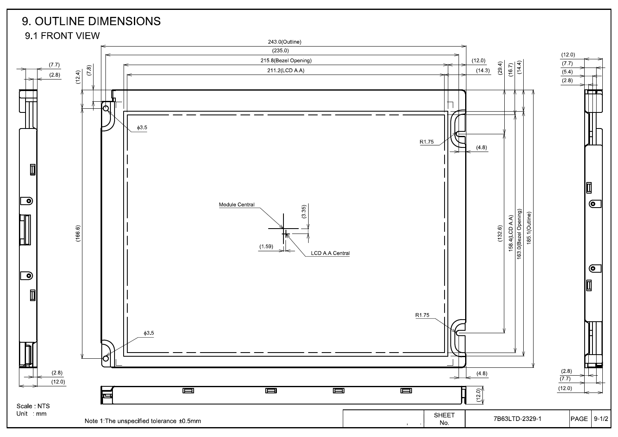